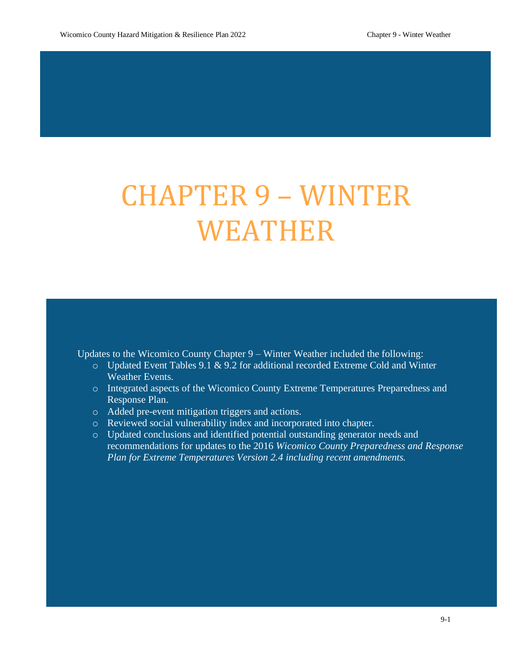# CHAPTER 9 – WINTER WEATHER

Updates to the Wicomico County Chapter 9 – Winter Weather included the following:

- o Updated Event Tables 9.1 & 9.2 for additional recorded Extreme Cold and Winter Weather Events.
- o Integrated aspects of the Wicomico County Extreme Temperatures Preparedness and Response Plan.
- o Added pre-event mitigation triggers and actions.
- o Reviewed social vulnerability index and incorporated into chapter.
- o Updated conclusions and identified potential outstanding generator needs and recommendations for updates to the 2016 *Wicomico County Preparedness and Response Plan for Extreme Temperatures Version 2.4 including recent amendments.*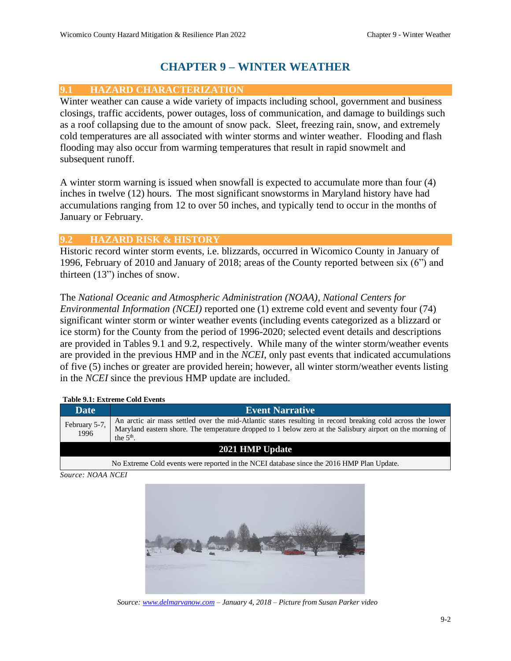# **CHAPTER 9 – WINTER WEATHER**

### **9.1 HAZARD CHARACTERIZATION**

Winter weather can cause a wide variety of impacts including school, government and business closings, traffic accidents, power outages, loss of communication, and damage to buildings such as a roof collapsing due to the amount of snow pack. Sleet, freezing rain, snow, and extremely cold temperatures are all associated with winter storms and winter weather. Flooding and flash flooding may also occur from warming temperatures that result in rapid snowmelt and subsequent runoff.

A winter storm warning is issued when snowfall is expected to accumulate more than four (4) inches in twelve (12) hours. The most significant snowstorms in Maryland history have had accumulations ranging from 12 to over 50 inches, and typically tend to occur in the months of January or February.

#### **9.2 HAZARD RISK & HISTORY**

Historic record winter storm events, i.e. blizzards, occurred in Wicomico County in January of 1996, February of 2010 and January of 2018; areas of the County reported between six (6") and thirteen (13") inches of snow.

The *National Oceanic and Atmospheric Administration (NOAA), National Centers for Environmental Information (NCEI)* reported one (1) extreme cold event and seventy four (74) significant winter storm or winter weather events (including events categorized as a blizzard or ice storm) for the County from the period of 1996-2020; selected event details and descriptions are provided in Tables 9.1 and 9.2, respectively. While many of the winter storm/weather events are provided in the previous HMP and in the *NCEI*, only past events that indicated accumulations of five (5) inches or greater are provided herein; however, all winter storm/weather events listing in the *NCEI* since the previous HMP update are included.

#### **Table 9.1: Extreme Cold Events**

| Date <sup>1</sup>     | <b>Event Narrative</b>                                                                                                                                                                                                                  |  |  |  |  |
|-----------------------|-----------------------------------------------------------------------------------------------------------------------------------------------------------------------------------------------------------------------------------------|--|--|--|--|
| February 5-7,<br>1996 | An arctic air mass settled over the mid-Atlantic states resulting in record breaking cold across the lower<br>Maryland eastern shore. The temperature dropped to 1 below zero at the Salisbury airport on the morning of<br>the $5th$ . |  |  |  |  |
| 2021 HMP Update       |                                                                                                                                                                                                                                         |  |  |  |  |
|                       | No Extreme Cold events were reported in the NCEI database since the 2016 HMP Plan Update.                                                                                                                                               |  |  |  |  |

*Source: NOAA NCEI*



*Source[: www.delmarvanow.com](http://www.delmarvanow.com/) – January 4, 2018 – Picture from Susan Parker video*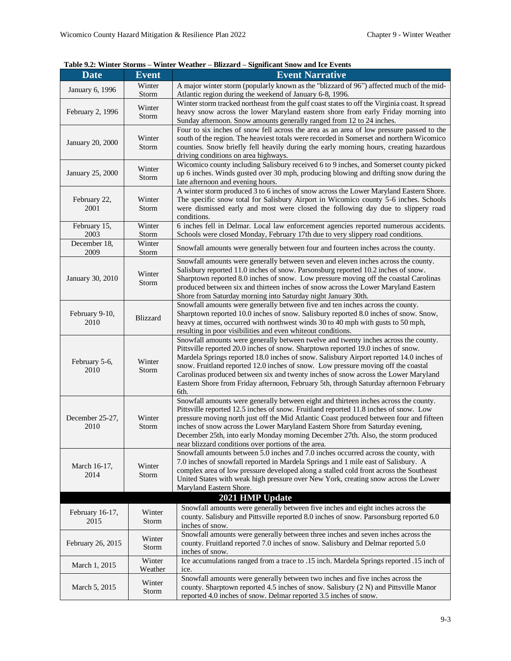| Table 9.2: Winter Storms - Winter Weather - Blizzard - Significant Snow and Ice Events |  |  |  |
|----------------------------------------------------------------------------------------|--|--|--|
|----------------------------------------------------------------------------------------|--|--|--|

| <b>Date</b>             | Event             | <b>Event Narrative</b>                                                                                                                                                                                                                                                                                                                                                                                                                                                                                                                          |
|-------------------------|-------------------|-------------------------------------------------------------------------------------------------------------------------------------------------------------------------------------------------------------------------------------------------------------------------------------------------------------------------------------------------------------------------------------------------------------------------------------------------------------------------------------------------------------------------------------------------|
| January 6, 1996         | Winter<br>Storm   | A major winter storm (popularly known as the "blizzard of 96") affected much of the mid-<br>Atlantic region during the weekend of January 6-8, 1996.                                                                                                                                                                                                                                                                                                                                                                                            |
| February 2, 1996        | Winter<br>Storm   | Winter storm tracked northeast from the gulf coast states to off the Virginia coast. It spread<br>heavy snow across the lower Maryland eastern shore from early Friday morning into<br>Sunday afternoon. Snow amounts generally ranged from 12 to 24 inches.                                                                                                                                                                                                                                                                                    |
| January 20, 2000        | Winter<br>Storm   | Four to six inches of snow fell across the area as an area of low pressure passed to the<br>south of the region. The heaviest totals were recorded in Somerset and northern Wicomico<br>counties. Snow briefly fell heavily during the early morning hours, creating hazardous<br>driving conditions on area highways.                                                                                                                                                                                                                          |
| January 25, 2000        | Winter<br>Storm   | Wicomico county including Salisbury received 6 to 9 inches, and Somerset county picked<br>up 6 inches. Winds gusted over 30 mph, producing blowing and drifting snow during the<br>late afternoon and evening hours.                                                                                                                                                                                                                                                                                                                            |
| February 22,<br>2001    | Winter<br>Storm   | A winter storm produced 3 to 6 inches of snow across the Lower Maryland Eastern Shore.<br>The specific snow total for Salisbury Airport in Wicomico county 5-6 inches. Schools<br>were dismissed early and most were closed the following day due to slippery road<br>conditions.                                                                                                                                                                                                                                                               |
| February 15,<br>2003    | Winter<br>Storm   | 6 inches fell in Delmar. Local law enforcement agencies reported numerous accidents.<br>Schools were closed Monday, February 17th due to very slippery road conditions.                                                                                                                                                                                                                                                                                                                                                                         |
| December 18,<br>2009    | Winter<br>Storm   | Snowfall amounts were generally between four and fourteen inches across the county.                                                                                                                                                                                                                                                                                                                                                                                                                                                             |
| January 30, 2010        | Winter<br>Storm   | Snowfall amounts were generally between seven and eleven inches across the county.<br>Salisbury reported 11.0 inches of snow. Parsonsburg reported 10.2 inches of snow.<br>Sharptown reported 8.0 inches of snow. Low pressure moving off the coastal Carolinas<br>produced between six and thirteen inches of snow across the Lower Maryland Eastern<br>Shore from Saturday morning into Saturday night January 30th.                                                                                                                          |
| February 9-10,<br>2010  | <b>Blizzard</b>   | Snowfall amounts were generally between five and ten inches across the county.<br>Sharptown reported 10.0 inches of snow. Salisbury reported 8.0 inches of snow. Snow,<br>heavy at times, occurred with northwest winds 30 to 40 mph with gusts to 50 mph,<br>resulting in poor visibilities and even whiteout conditions.                                                                                                                                                                                                                      |
| February 5-6,<br>2010   | Winter<br>Storm   | Snowfall amounts were generally between twelve and twenty inches across the county.<br>Pittsville reported 20.0 inches of snow. Sharptown reported 19.0 inches of snow.<br>Mardela Springs reported 18.0 inches of snow. Salisbury Airport reported 14.0 inches of<br>snow. Fruitland reported 12.0 inches of snow. Low pressure moving off the coastal<br>Carolinas produced between six and twenty inches of snow across the Lower Maryland<br>Eastern Shore from Friday afternoon, February 5th, through Saturday afternoon February<br>6th. |
| December 25-27,<br>2010 | Winter<br>Storm   | Snowfall amounts were generally between eight and thirteen inches across the county.<br>Pittsville reported 12.5 inches of snow. Fruitland reported 11.8 inches of snow. Low<br>pressure moving north just off the Mid Atlantic Coast produced between four and fifteen<br>inches of snow across the Lower Maryland Eastern Shore from Saturday evening,<br>December 25th, into early Monday morning December 27th. Also, the storm produced<br>near blizzard conditions over portions of the area.                                             |
| March 16-17,<br>2014    | Winter<br>Storm   | Snowfall amounts between 5.0 inches and 7.0 inches occurred across the county, with<br>7.0 inches of snowfall reported in Mardela Springs and 1 mile east of Salisbury. A<br>complex area of low pressure developed along a stalled cold front across the Southeast<br>United States with weak high pressure over New York, creating snow across the Lower<br>Maryland Eastern Shore.                                                                                                                                                           |
|                         |                   | 2021 HMP Update                                                                                                                                                                                                                                                                                                                                                                                                                                                                                                                                 |
| February 16-17,<br>2015 | Winter<br>Storm   | Snowfall amounts were generally between five inches and eight inches across the<br>county. Salisbury and Pittsville reported 8.0 inches of snow. Parsonsburg reported 6.0<br>inches of snow.                                                                                                                                                                                                                                                                                                                                                    |
| February 26, 2015       | Winter<br>Storm   | Snowfall amounts were generally between three inches and seven inches across the<br>county. Fruitland reported 7.0 inches of snow. Salisbury and Delmar reported 5.0<br>inches of snow.                                                                                                                                                                                                                                                                                                                                                         |
| March 1, 2015           | Winter<br>Weather | Ice accumulations ranged from a trace to .15 inch. Mardela Springs reported .15 inch of<br>ice.                                                                                                                                                                                                                                                                                                                                                                                                                                                 |
| March 5, 2015           | Winter<br>Storm   | Snowfall amounts were generally between two inches and five inches across the<br>county. Sharptown reported 4.5 inches of snow. Salisbury (2 N) and Pittsville Manor<br>reported 4.0 inches of snow. Delmar reported 3.5 inches of snow.                                                                                                                                                                                                                                                                                                        |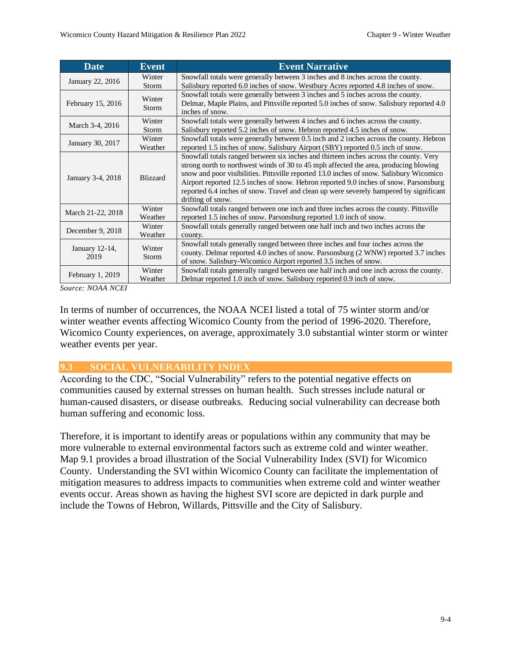| <b>Date</b>            | <b>Event</b>      | <b>Event Narrative</b>                                                                                                                                                                                                                                                                                                                                                                                                                                                            |  |
|------------------------|-------------------|-----------------------------------------------------------------------------------------------------------------------------------------------------------------------------------------------------------------------------------------------------------------------------------------------------------------------------------------------------------------------------------------------------------------------------------------------------------------------------------|--|
| January 22, 2016       | Winter            | Snowfall totals were generally between 3 inches and 8 inches across the county.                                                                                                                                                                                                                                                                                                                                                                                                   |  |
|                        | Storm             | Salisbury reported 6.0 inches of snow. Westbury Acres reported 4.8 inches of snow.                                                                                                                                                                                                                                                                                                                                                                                                |  |
| February 15, 2016      | Winter<br>Storm   | Snowfall totals were generally between 3 inches and 5 inches across the county.<br>Delmar, Maple Plains, and Pittsville reported 5.0 inches of snow. Salisbury reported 4.0<br>inches of snow.                                                                                                                                                                                                                                                                                    |  |
|                        |                   |                                                                                                                                                                                                                                                                                                                                                                                                                                                                                   |  |
| March 3-4, 2016        | Winter            | Snowfall totals were generally between 4 inches and 6 inches across the county.                                                                                                                                                                                                                                                                                                                                                                                                   |  |
|                        | Storm             | Salisbury reported 5.2 inches of snow. Hebron reported 4.5 inches of snow.                                                                                                                                                                                                                                                                                                                                                                                                        |  |
| January 30, 2017       | Winter            | Snowfall totals were generally between 0.5 inch and 2 inches across the county. Hebron                                                                                                                                                                                                                                                                                                                                                                                            |  |
|                        | Weather           | reported 1.5 inches of snow. Salisbury Airport (SBY) reported 0.5 inch of snow.                                                                                                                                                                                                                                                                                                                                                                                                   |  |
| January 3-4, 2018      | <b>Blizzard</b>   | Snowfall totals ranged between six inches and thirteen inches across the county. Very<br>strong north to northwest winds of 30 to 45 mph affected the area, producing blowing<br>snow and poor visibilities. Pitts ville reported 13.0 inches of snow. Salisbury Wicomico<br>Airport reported 12.5 inches of snow. Hebron reported 9.0 inches of snow. Parsonsburg<br>reported 6.4 inches of snow. Travel and clean up were severely hampered by significant<br>drifting of snow. |  |
| March 21-22, 2018      | Winter<br>Weather | Snowfall totals ranged between one inch and three inches across the county. Pittsville<br>reported 1.5 inches of snow. Parsonsburg reported 1.0 inch of snow.                                                                                                                                                                                                                                                                                                                     |  |
| December 9, 2018       | Winter<br>Weather | Snowfall totals generally ranged between one half inch and two inches across the<br>county.                                                                                                                                                                                                                                                                                                                                                                                       |  |
| January 12-14,<br>2019 | Winter<br>Storm   | Snowfall totals generally ranged between three inches and four inches across the<br>county. Delmar reported 4.0 inches of snow. Parsonsburg (2 WNW) reported 3.7 inches<br>of snow. Salisbury-Wicomico Airport reported 3.5 inches of snow.                                                                                                                                                                                                                                       |  |
| February 1, 2019       | Winter<br>Weather | Snowfall totals generally ranged between one half inch and one inch across the county.<br>Delmar reported 1.0 inch of snow. Salisbury reported 0.9 inch of snow.                                                                                                                                                                                                                                                                                                                  |  |

*Source: NOAA NCEI*

In terms of number of occurrences, the NOAA NCEI listed a total of 75 winter storm and/or winter weather events affecting Wicomico County from the period of 1996-2020. Therefore, Wicomico County experiences, on average, approximately 3.0 substantial winter storm or winter weather events per year.

#### **9.3 SOCIAL VULNERABILITY INDEX**

According to the CDC, "Social Vulnerability" refers to the potential negative effects on communities caused by external stresses on human health. Such stresses include natural or human-caused disasters, or disease outbreaks. Reducing social vulnerability can decrease both human suffering and economic loss.

Therefore, it is important to identify areas or populations within any community that may be more vulnerable to external environmental factors such as extreme cold and winter weather. Map 9.1 provides a broad illustration of the Social Vulnerability Index (SVI) for Wicomico County. Understanding the SVI within Wicomico County can facilitate the implementation of mitigation measures to address impacts to communities when extreme cold and winter weather events occur. Areas shown as having the highest SVI score are depicted in dark purple and include the Towns of Hebron, Willards, Pittsville and the City of Salisbury.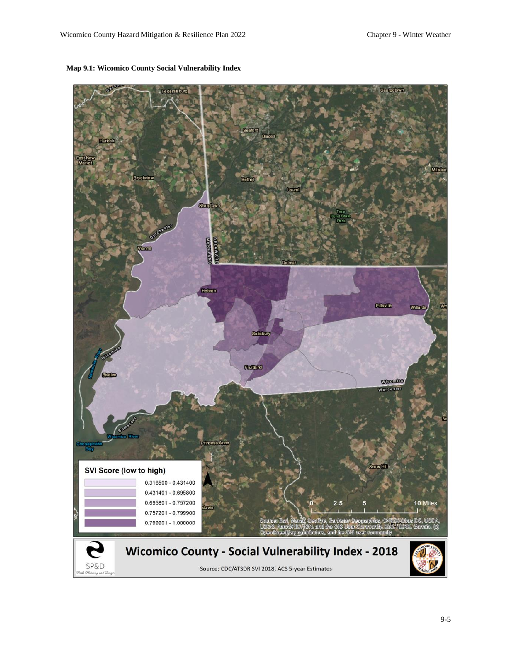

#### **Map 9.1: Wicomico County Social Vulnerability Index**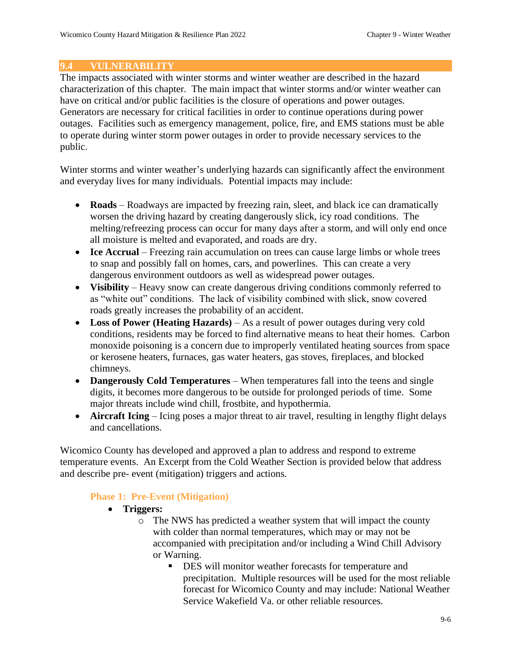#### **9.4 VULNERABILITY**

The impacts associated with winter storms and winter weather are described in the hazard characterization of this chapter. The main impact that winter storms and/or winter weather can have on critical and/or public facilities is the closure of operations and power outages. Generators are necessary for critical facilities in order to continue operations during power outages. Facilities such as emergency management, police, fire, and EMS stations must be able to operate during winter storm power outages in order to provide necessary services to the public.

Winter storms and winter weather's underlying hazards can significantly affect the environment and everyday lives for many individuals. Potential impacts may include:

- **Roads** Roadways are impacted by freezing rain, sleet, and black ice can dramatically worsen the driving hazard by creating dangerously slick, icy road conditions. The melting/refreezing process can occur for many days after a storm, and will only end once all moisture is melted and evaporated, and roads are dry.
- **Ice Accrual** Freezing rain accumulation on trees can cause large limbs or whole trees to snap and possibly fall on homes, cars, and powerlines. This can create a very dangerous environment outdoors as well as widespread power outages.
- **Visibility** Heavy snow can create dangerous driving conditions commonly referred to as "white out" conditions. The lack of visibility combined with slick, snow covered roads greatly increases the probability of an accident.
- **Loss of Power (Heating Hazards)** As a result of power outages during very cold conditions, residents may be forced to find alternative means to heat their homes. Carbon monoxide poisoning is a concern due to improperly ventilated heating sources from space or kerosene heaters, furnaces, gas water heaters, gas stoves, fireplaces, and blocked chimneys.
- **Dangerously Cold Temperatures** When temperatures fall into the teens and single digits, it becomes more dangerous to be outside for prolonged periods of time. Some major threats include wind chill, frostbite, and hypothermia.
- **Aircraft Icing** Icing poses a major threat to air travel, resulting in lengthy flight delays and cancellations.

Wicomico County has developed and approved a plan to address and respond to extreme temperature events. An Excerpt from the Cold Weather Section is provided below that address and describe pre- event (mitigation) triggers and actions.

## **Phase 1: Pre-Event (Mitigation)**

- **Triggers:**
	- o The NWS has predicted a weather system that will impact the county with colder than normal temperatures, which may or may not be accompanied with precipitation and/or including a Wind Chill Advisory or Warning.
		- DES will monitor weather forecasts for temperature and precipitation. Multiple resources will be used for the most reliable forecast for Wicomico County and may include: National Weather Service Wakefield Va. or other reliable resources.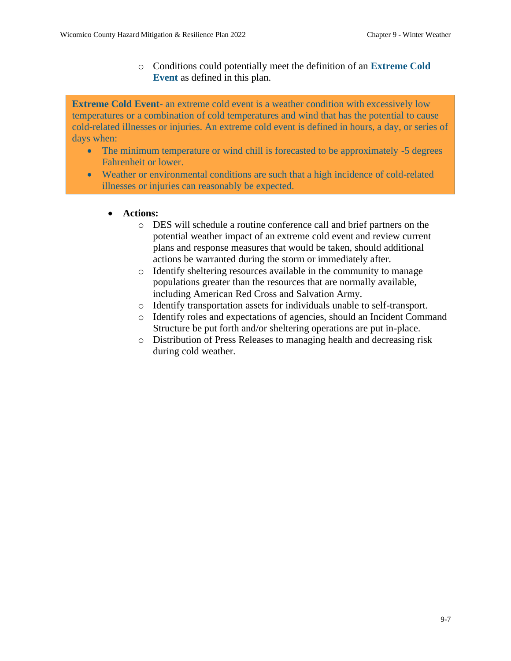o Conditions could potentially meet the definition of an **Extreme Cold Event** as defined in this plan.

**Extreme Cold Event-** an extreme cold event is a weather condition with excessively low temperatures or a combination of cold temperatures and wind that has the potential to cause cold-related illnesses or injuries. An extreme cold event is defined in hours, a day, or series of days when:

- The minimum temperature or wind chill is forecasted to be approximately -5 degrees Fahrenheit or lower.
- Weather or environmental conditions are such that a high incidence of cold-related illnesses or injuries can reasonably be expected.

.

- **Actions:**
	- o DES will schedule a routine conference call and brief partners on the potential weather impact of an extreme cold event and review current plans and response measures that would be taken, should additional actions be warranted during the storm or immediately after.
	- o Identify sheltering resources available in the community to manage populations greater than the resources that are normally available, including American Red Cross and Salvation Army.
	- o Identify transportation assets for individuals unable to self-transport.
	- o Identify roles and expectations of agencies, should an Incident Command Structure be put forth and/or sheltering operations are put in-place.
	- o Distribution of Press Releases to managing health and decreasing risk during cold weather.